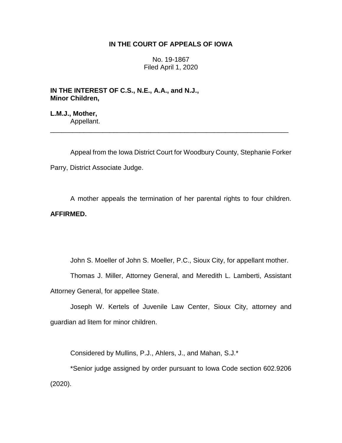# **IN THE COURT OF APPEALS OF IOWA**

No. 19-1867 Filed April 1, 2020

**IN THE INTEREST OF C.S., N.E., A.A., and N.J., Minor Children,**

**L.M.J., Mother,** Appellant.

Appeal from the Iowa District Court for Woodbury County, Stephanie Forker Parry, District Associate Judge.

\_\_\_\_\_\_\_\_\_\_\_\_\_\_\_\_\_\_\_\_\_\_\_\_\_\_\_\_\_\_\_\_\_\_\_\_\_\_\_\_\_\_\_\_\_\_\_\_\_\_\_\_\_\_\_\_\_\_\_\_\_\_\_\_

A mother appeals the termination of her parental rights to four children. **AFFIRMED.**

John S. Moeller of John S. Moeller, P.C., Sioux City, for appellant mother.

Thomas J. Miller, Attorney General, and Meredith L. Lamberti, Assistant Attorney General, for appellee State.

Joseph W. Kertels of Juvenile Law Center, Sioux City, attorney and guardian ad litem for minor children.

Considered by Mullins, P.J., Ahlers, J., and Mahan, S.J.\*

\*Senior judge assigned by order pursuant to Iowa Code section 602.9206 (2020).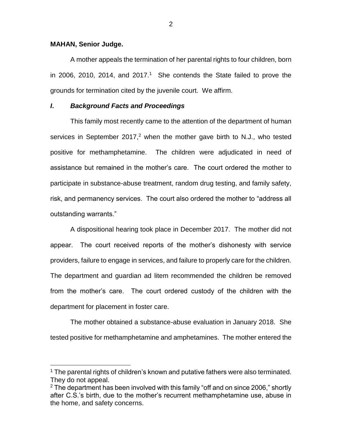### **MAHAN, Senior Judge.**

 $\overline{a}$ 

A mother appeals the termination of her parental rights to four children, born in 2006, 2010, 2014, and 2017.<sup>1</sup> She contends the State failed to prove the grounds for termination cited by the juvenile court. We affirm.

## *I***.** *Background Facts and Proceedings*

This family most recently came to the attention of the department of human services in September 2017,<sup>2</sup> when the mother gave birth to N.J., who tested positive for methamphetamine. The children were adjudicated in need of assistance but remained in the mother's care. The court ordered the mother to participate in substance-abuse treatment, random drug testing, and family safety, risk, and permanency services. The court also ordered the mother to "address all outstanding warrants."

A dispositional hearing took place in December 2017. The mother did not appear. The court received reports of the mother's dishonesty with service providers, failure to engage in services, and failure to properly care for the children. The department and guardian ad litem recommended the children be removed from the mother's care. The court ordered custody of the children with the department for placement in foster care.

The mother obtained a substance-abuse evaluation in January 2018. She tested positive for methamphetamine and amphetamines. The mother entered the

<sup>&</sup>lt;sup>1</sup> The parental rights of children's known and putative fathers were also terminated. They do not appeal.

 $2$  The department has been involved with this family "off and on since 2006," shortly after C.S.'s birth, due to the mother's recurrent methamphetamine use, abuse in the home, and safety concerns.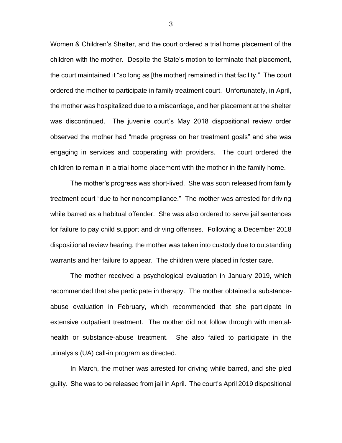Women & Children's Shelter, and the court ordered a trial home placement of the children with the mother. Despite the State's motion to terminate that placement, the court maintained it "so long as [the mother] remained in that facility." The court ordered the mother to participate in family treatment court. Unfortunately, in April, the mother was hospitalized due to a miscarriage, and her placement at the shelter was discontinued. The juvenile court's May 2018 dispositional review order observed the mother had "made progress on her treatment goals" and she was engaging in services and cooperating with providers. The court ordered the children to remain in a trial home placement with the mother in the family home.

The mother's progress was short-lived. She was soon released from family treatment court "due to her noncompliance." The mother was arrested for driving while barred as a habitual offender. She was also ordered to serve jail sentences for failure to pay child support and driving offenses. Following a December 2018 dispositional review hearing, the mother was taken into custody due to outstanding warrants and her failure to appear. The children were placed in foster care.

The mother received a psychological evaluation in January 2019, which recommended that she participate in therapy. The mother obtained a substanceabuse evaluation in February, which recommended that she participate in extensive outpatient treatment. The mother did not follow through with mentalhealth or substance-abuse treatment. She also failed to participate in the urinalysis (UA) call-in program as directed.

In March, the mother was arrested for driving while barred, and she pled guilty. She was to be released from jail in April. The court's April 2019 dispositional

3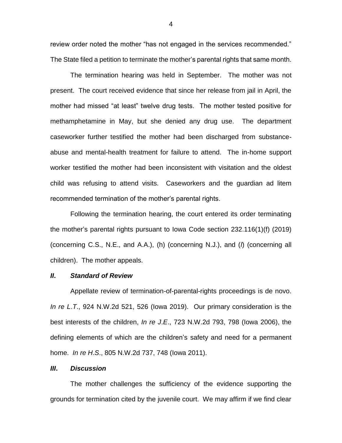review order noted the mother "has not engaged in the services recommended." The State filed a petition to terminate the mother's parental rights that same month.

The termination hearing was held in September. The mother was not present. The court received evidence that since her release from jail in April, the mother had missed "at least" twelve drug tests. The mother tested positive for methamphetamine in May, but she denied any drug use. The department caseworker further testified the mother had been discharged from substanceabuse and mental-health treatment for failure to attend. The in-home support worker testified the mother had been inconsistent with visitation and the oldest child was refusing to attend visits. Caseworkers and the guardian ad litem recommended termination of the mother's parental rights.

Following the termination hearing, the court entered its order terminating the mother's parental rights pursuant to Iowa Code section 232.116(1)(f) (2019) (concerning C.S., N.E., and A.A.), (h) (concerning N.J.), and (*l*) (concerning all children). The mother appeals.

### *II***.** *Standard of Review*

Appellate review of termination-of-parental-rights proceedings is de novo. *In re L*.*T*., 924 N.W.2d 521, 526 (Iowa 2019). Our primary consideration is the best interests of the children, *In re J*.*E*., 723 N.W.2d 793, 798 (Iowa 2006), the defining elements of which are the children's safety and need for a permanent home. *In re H*.*S*., 805 N.W.2d 737, 748 (Iowa 2011).

## *III***.** *Discussion*

The mother challenges the sufficiency of the evidence supporting the grounds for termination cited by the juvenile court. We may affirm if we find clear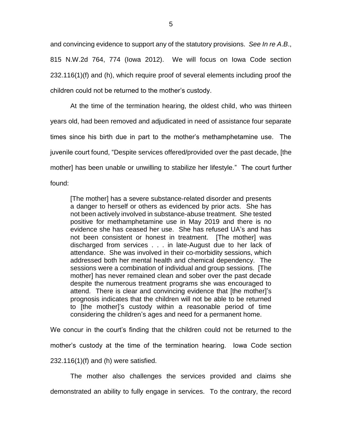and convincing evidence to support any of the statutory provisions. *See In re A*.*B*., 815 N.W.2d 764, 774 (Iowa 2012). We will focus on Iowa Code section 232.116(1)(f) and (h), which require proof of several elements including proof the children could not be returned to the mother's custody.

At the time of the termination hearing, the oldest child, who was thirteen years old, had been removed and adjudicated in need of assistance four separate times since his birth due in part to the mother's methamphetamine use. The juvenile court found, "Despite services offered/provided over the past decade, [the mother] has been unable or unwilling to stabilize her lifestyle." The court further found:

[The mother] has a severe substance-related disorder and presents a danger to herself or others as evidenced by prior acts. She has not been actively involved in substance-abuse treatment. She tested positive for methamphetamine use in May 2019 and there is no evidence she has ceased her use. She has refused UA's and has not been consistent or honest in treatment. [The mother] was discharged from services . . . in late-August due to her lack of attendance. She was involved in their co-morbidity sessions, which addressed both her mental health and chemical dependency. The sessions were a combination of individual and group sessions. [The mother] has never remained clean and sober over the past decade despite the numerous treatment programs she was encouraged to attend. There is clear and convincing evidence that [the mother]'s prognosis indicates that the children will not be able to be returned to [the mother]'s custody within a reasonable period of time considering the children's ages and need for a permanent home.

We concur in the court's finding that the children could not be returned to the mother's custody at the time of the termination hearing. Iowa Code section 232.116(1)(f) and (h) were satisfied.

The mother also challenges the services provided and claims she demonstrated an ability to fully engage in services. To the contrary, the record